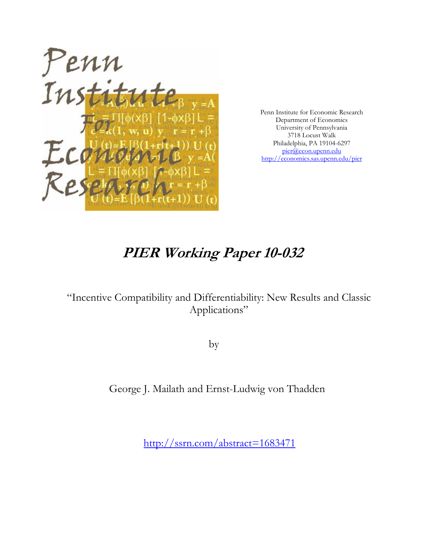

Penn Institute for Economic Research Department of Economics University of Pennsylvania 3718 Locust Walk Philadelphia, PA 19104-6297 pier@econ.upenn.edu http://economics.sas.upenn.edu/pier

# **PIER Working Paper 10-032**

## "Incentive Compatibility and Differentiability: New Results and Classic Applications"

by

## George J. Mailath and Ernst-Ludwig von Thadden

http://ssrn.com/abstract=1683471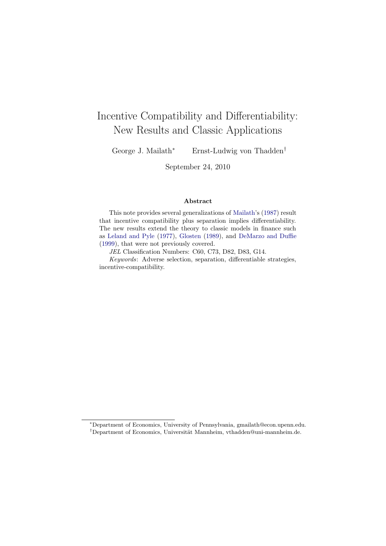## Incentive Compatibility and Differentiability: New Results and Classic Applications

George J. Mailath<sup>∗</sup> Ernst-Ludwig von Thadden†

September 24, 2010

#### Abstract

This note provides several generalizations of [Mailath](#page-27-0)'s [\(1987](#page-27-0)) result that incentive compatibility plus separation implies differentiability. The new results extend the theory to classic models in finance such as [Leland and Pyle](#page-27-0) [\(1977\)](#page-27-0), [Glosten](#page-26-0) ([1989\)](#page-26-0), and [DeMarzo and Duffie](#page-26-0) ([1999\)](#page-26-0), that were not previously covered.

JEL Classification Numbers: C60, C73, D82, D83, G14.

Keywords: Adverse selection, separation, differentiable strategies, incentive-compatibility.

<sup>∗</sup>Department of Economics, University of Pennsylvania, gmailath@econ.upenn.edu. <sup>†</sup>Department of Economics, Universität Mannheim, vthadden@uni-mannheim.de.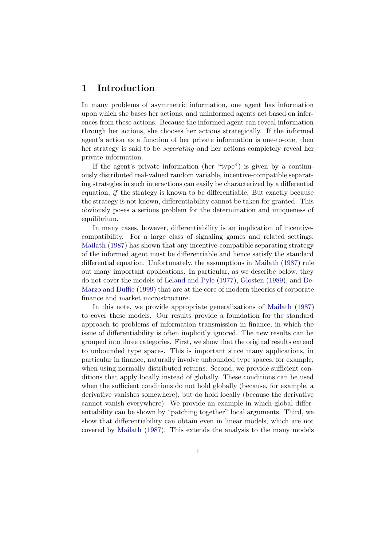## 1 Introduction

In many problems of asymmetric information, one agent has information upon which she bases her actions, and uninformed agents act based on inferences from these actions. Because the informed agent can reveal information through her actions, she chooses her actions strategically. If the informed agent's action as a function of her private information is one-to-one, then her strategy is said to be separating and her actions completely reveal her private information.

If the agent's private information (her "type") is given by a continuously distributed real-valued random variable, incentive-compatible separating strategies in such interactions can easily be characterized by a differential equation, if the strategy is known to be differentiable. But exactly because the strategy is not known, differentiability cannot be taken for granted. This obviously poses a serious problem for the determination and uniqueness of equilibrium.

In many cases, however, differentiability is an implication of incentivecompatibility. For a large class of signaling games and related settings, [Mailath](#page-27-0) [\(1987](#page-27-0)) has shown that any incentive-compatible separating strategy of the informed agent must be differentiable and hence satisfy the standard differential equation. Unfortunately, the assumptions in [Mailath](#page-27-0) [\(1987\)](#page-27-0) rule out many important applications. In particular, as we describe below, they do not cover the models of [Leland and Pyle](#page-27-0) [\(1977](#page-27-0)), [Glosten](#page-26-0) [\(1989](#page-26-0)), and [De-](#page-26-0)[Marzo and Duffie](#page-26-0) ([1999](#page-26-0)) that are at the core of modern theories of corporate finance and market microstructure.

In this note, we provide appropriate generalizations of [Mailath](#page-27-0) [\(1987](#page-27-0)) to cover these models. Our results provide a foundation for the standard approach to problems of information transmission in finance, in which the issue of differentiability is often implicitly ignored. The new results can be grouped into three categories. First, we show that the original results extend to unbounded type spaces. This is important since many applications, in particular in finance, naturally involve unbounded type spaces, for example, when using normally distributed returns. Second, we provide sufficient conditions that apply locally instead of globally. These conditions can be used when the sufficient conditions do not hold globally (because, for example, a derivative vanishes somewhere), but do hold locally (because the derivative cannot vanish everywhere). We provide an example in which global differentiability can be shown by "patching together" local arguments. Third, we show that differentiability can obtain even in linear models, which are not covered by [Mailath](#page-27-0) ([1987](#page-27-0)). This extends the analysis to the many models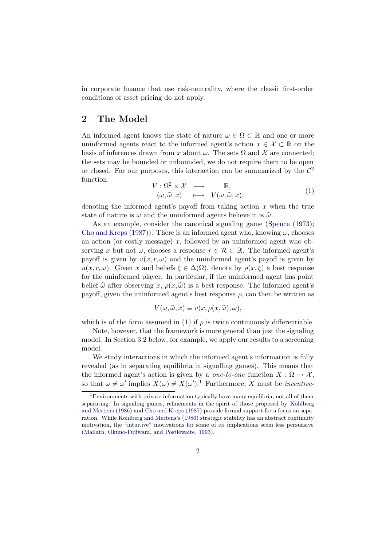<span id="page-3-0"></span>in corporate finance that use risk-neutrality, where the classic first-order conditions of asset pricing do not apply.

## 2 The Model

An informed agent knows the state of nature  $\omega \in \Omega \subset \mathbb{R}$  and one or more uninformed agents react to the informed agent's action  $x \in \mathcal{X} \subset \mathbb{R}$  on the basis of inferences drawn from x about  $\omega$ . The sets  $\Omega$  and X are connected; the sets may be bounded or unbounded, we do not require them to be open or closed. For our purposes, this interaction can be summarized by the  $\mathcal{C}^2$ function

$$
V: \Omega^2 \times \mathcal{X} \longrightarrow \mathbb{R},
$$
  
\n
$$
(\omega, \widehat{\omega}, x) \longrightarrow V(\omega, \widehat{\omega}, x),
$$
  
\n(1)

denoting the informed agent's payoff from taking action  $x$  when the true state of nature is  $\omega$  and the uninformed agents believe it is  $\hat{\omega}$ .

As an example, consider the canonical signaling game ([Spence](#page-27-0)  $(1973)$  $(1973)$ ; [Cho and Kreps](#page-26-0) ([1987\)](#page-26-0)). There is an informed agent who, knowing  $\omega$ , chooses an action (or costly message) x, followed by an uninformed agent who observing x but not  $\omega$ , chooses a response  $r \in \mathcal{R} \subset \mathbb{R}$ . The informed agent's payoff is given by  $v(x, r, \omega)$  and the uninformed agent's payoff is given by  $u(x, r, \omega)$ . Given x and beliefs  $\xi \in \Delta(\Omega)$ , denote by  $\rho(x, \xi)$  a best response for the uninformed player. In particular, if the uninformed agent has point belief  $\hat{\omega}$  after observing x,  $\rho(x, \hat{\omega})$  is a best response. The informed agent's payoff, given the uninformed agent's best response  $\rho$ , can then be written as

$$
V(\omega, \widehat{\omega}, x) \equiv v(x, \rho(x, \widehat{\omega}), \omega),
$$

which is of the form assumed in (1) if  $\rho$  is twice continuously differentiable.

Note, however, that the framework is more general than just the signaling model. In Section 3.2 below, for example, we apply our results to a screening model.

We study interactions in which the informed agent's information is fully revealed (as in separating equilibria in signalling games). This means that the informed agent's action is given by a *one-to-one* function  $X : \Omega \to \mathcal{X}$ , so that  $\omega \neq \omega'$  implies  $X(\omega) \neq X(\omega')$ .<sup>1</sup> Furthermore, X must be *incentive*-

<sup>1</sup>Environments with private information typically have many equilibria, not all of them separating. In signaling games, refinements in the spirit of those proposed by [Kohlberg](#page-27-0) [and Mertens](#page-27-0) ([1986](#page-27-0)) and [Cho and Kreps](#page-26-0) ([1987\)](#page-26-0) provide formal support for a focus on separation. While [Kohlberg and Mertens](#page-27-0)'s [\(1986\)](#page-27-0) strategic stability has an abstract continuity motivation, the "intuitive" motivations for some of its implications seem less persuasive [\(Mailath, Okuno-Fujiwara, and Postlewaite,](#page-27-0) [1993\)](#page-27-0).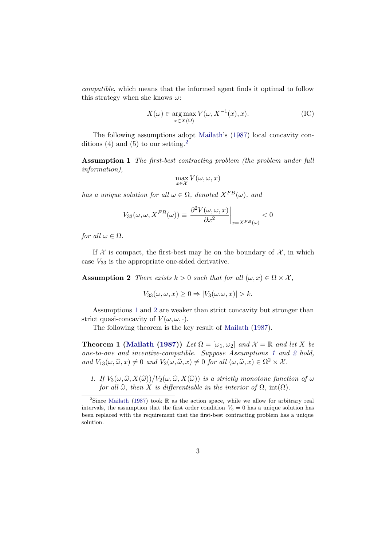<span id="page-4-0"></span>compatible, which means that the informed agent finds it optimal to follow this strategy when she knows  $\omega$ :

$$
X(\omega) \in \underset{x \in X(\Omega)}{\arg \max} V(\omega, X^{-1}(x), x). \tag{IC}
$$

The following assumptions adopt [Mailath](#page-27-0)'s [\(1987\)](#page-27-0) local concavity conditions (4) and (5) to our setting.<sup>2</sup>

Assumption 1 The first-best contracting problem (the problem under full information),

$$
\max_{x \in \mathcal{X}} V(\omega, \omega, x)
$$

has a unique solution for all  $\omega \in \Omega$ , denoted  $X^{FB}(\omega)$ , and

$$
V_{33}(\omega, \omega, X^{FB}(\omega)) \equiv \left. \frac{\partial^2 V(\omega, \omega, x)}{\partial x^2} \right|_{x = X^{FB}(\omega)} < 0
$$

for all  $\omega \in \Omega$ .

If  $\mathcal X$  is compact, the first-best may lie on the boundary of  $\mathcal X$ , in which case  $V_{33}$  is the appropriate one-sided derivative.

Assumption 2 There exists  $k > 0$  such that for all  $(\omega, x) \in \Omega \times \mathcal{X}$ ,

$$
V_{33}(\omega,\omega,x)\geq 0 \Rightarrow |V_3(\omega.\omega,x)| > k.
$$

Assumptions 1 and 2 are weaker than strict concavity but stronger than strict quasi-concavity of  $V(\omega, \omega, \cdot)$ .

The following theorem is the key result of [Mailath](#page-27-0) [\(1987\)](#page-27-0).

**Theorem 1 [\(Mailath](#page-27-0) [\(1987](#page-27-0)))** Let  $\Omega = [\omega_1, \omega_2]$  and  $\mathcal{X} = \mathbb{R}$  and let X be one-to-one and incentive-compatible. Suppose Assumptions 1 and 2 hold, and  $V_{13}(\omega, \widehat{\omega}, x) \neq 0$  and  $V_2(\omega, \widehat{\omega}, x) \neq 0$  for all  $(\omega, \widehat{\omega}, x) \in \Omega^2 \times \mathcal{X}$ .

1. If  $V_3(\omega, \widehat{\omega}, X(\widehat{\omega}))/V_2(\omega, \widehat{\omega}, X(\widehat{\omega}))$  is a strictly monotone function of  $\omega$ for all  $\widehat{\omega}$ , then X is differentiable in the interior of  $\Omega$ , int( $\Omega$ ).

<sup>&</sup>lt;sup>2</sup>Since [Mailath](#page-27-0) [\(1987\)](#page-27-0) took  $\mathbb R$  as the action space, while we allow for arbitrary real intervals, the assumption that the first order condition  $V_3 = 0$  has a unique solution has been replaced with the requirement that the first-best contracting problem has a unique solution.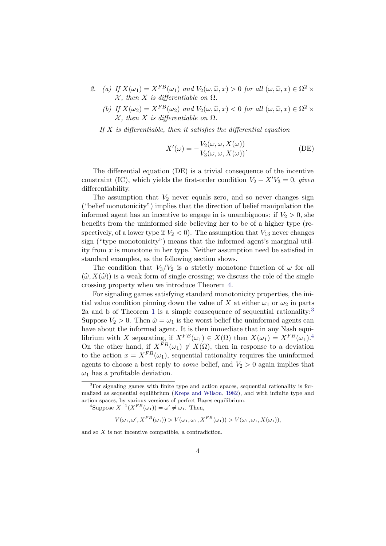- 2. (a) If  $X(\omega_1) = X^{FB}(\omega_1)$  and  $V_2(\omega, \widehat{\omega}, x) > 0$  for all  $(\omega, \widehat{\omega}, x) \in \Omega^2$  $X$ , then X is differentiable on  $\Omega$ .
	- (b) If  $X(\omega_2) = X^{FB}(\omega_2)$  and  $V_2(\omega, \widehat{\omega}, x) < 0$  for all  $(\omega, \widehat{\omega}, x) \in \Omega^2$  ×  $\mathcal X$ , then X is differentiable on  $\Omega$ .

If  $X$  is differentiable, then it satisfies the differential equation

$$
X'(\omega) = -\frac{V_2(\omega, \omega, X(\omega))}{V_3(\omega, \omega, X(\omega))}.
$$
 (DE)

The differential equation (DE) is a trivial consequence of the incentive constraint (IC), which yields the first-order condition  $V_2 + X'V_3 = 0$ , given differentiability.

The assumption that  $V_2$  never equals zero, and so never changes sign ("belief monotonicity") implies that the direction of belief manipulation the informed agent has an incentive to engage in is unambiguous: if  $V_2 > 0$ , she benefits from the uninformed side believing her to be of a higher type (respectively, of a lower type if  $V_2 < 0$ ). The assumption that  $V_{13}$  never changes sign ("type monotonicity") means that the informed agent's marginal utility from x is monotone in her type. Neither assumption need be satisfied in standard examples, as the following section shows.

The condition that  $V_3/V_2$  is a strictly monotone function of  $\omega$  for all  $(\widehat{\omega}, X(\widehat{\omega}))$  is a weak form of single crossing; we discuss the role of the single crossing property when we introduce Theorem [4](#page-14-0).

For signaling games satisfying standard monotonicity properties, the initial value condition pinning down the value of X at either  $\omega_1$  or  $\omega_2$  in parts 2a and b of Theorem [1](#page-4-0) is a simple consequence of sequential rationality:<sup>3</sup> Suppose  $V_2 > 0$ . Then  $\hat{\omega} = \omega_1$  is the worst belief the uninformed agents can have about the informed agent. It is then immediate that in any Nash equilibrium with X separating, if  $X^{FB}(\omega_1) \in X(\Omega)$  then  $X(\omega_1) = X^{FB}(\omega_1)^{4}$ . On the other hand, if  $X^{FB}(\omega_1) \notin X(\Omega)$ , then in response to a deviation to the action  $x = X^{FB}(\omega_1)$ , sequential rationality requires the uninformed agents to choose a best reply to *some* belief, and  $V_2 > 0$  again implies that  $\omega_1$  has a profitable deviation.

<sup>4</sup>Suppose  $X^{-1}(X^{FB}(\omega_1)) = \omega' \neq \omega_1$ . Then,

$$
V(\omega_1, \omega', X^{FB}(\omega_1)) > V(\omega_1, \omega_1, X^{FB}(\omega_1)) > V(\omega_1, \omega_1, X(\omega_1)),
$$

and so X is not incentive compatible, a contradiction.

<sup>3</sup>For signaling games with finite type and action spaces, sequential rationality is formalized as sequential equilibrium ([Kreps and Wilson](#page-27-0), [1982\)](#page-27-0), and with infinite type and action spaces, by various versions of perfect Bayes equilibrium.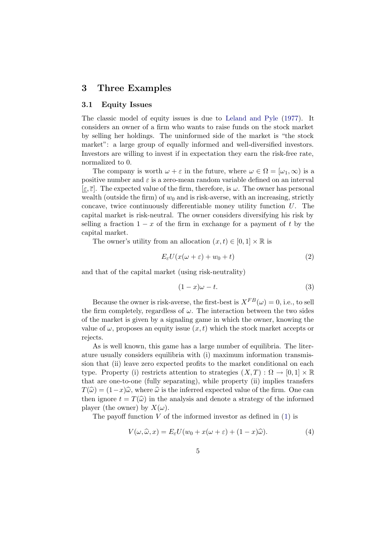### <span id="page-6-0"></span>3 Three Examples

#### 3.1 Equity Issues

The classic model of equity issues is due to [Leland and Pyle](#page-27-0) [\(1977\)](#page-27-0). It considers an owner of a firm who wants to raise funds on the stock market by selling her holdings. The uninformed side of the market is "the stock market": a large group of equally informed and well-diversified investors. Investors are willing to invest if in expectation they earn the risk-free rate, normalized to 0.

The company is worth  $\omega + \varepsilon$  in the future, where  $\omega \in \Omega = [\omega_1, \infty)$  is a positive number and  $\varepsilon$  is a zero-mean random variable defined on an interval  $[\varepsilon, \overline{\varepsilon}]$ . The expected value of the firm, therefore, is  $\omega$ . The owner has personal wealth (outside the firm) of  $w_0$  and is risk-averse, with an increasing, strictly concave, twice continuously differentiable money utility function U. The capital market is risk-neutral. The owner considers diversifying his risk by selling a fraction  $1 - x$  of the firm in exchange for a payment of t by the capital market.

The owner's utility from an allocation  $(x, t) \in [0, 1] \times \mathbb{R}$  is

$$
E_{\varepsilon}U(x(\omega + \varepsilon) + w_0 + t) \tag{2}
$$

and that of the capital market (using risk-neutrality)

$$
(1-x)\omega - t.\t\t(3)
$$

Because the owner is risk-averse, the first-best is  $X^{FB}(\omega) = 0$ , i.e., to sell the firm completely, regardless of  $\omega$ . The interaction between the two sides of the market is given by a signaling game in which the owner, knowing the value of  $\omega$ , proposes an equity issue  $(x, t)$  which the stock market accepts or rejects.

As is well known, this game has a large number of equilibria. The literature usually considers equilibria with (i) maximum information transmission that (ii) leave zero expected profits to the market conditional on each type. Property (i) restricts attention to strategies  $(X, T) : \Omega \to [0, 1] \times \mathbb{R}$ that are one-to-one (fully separating), while property (ii) implies transfers  $T(\widehat{\omega}) = (1-x)\widehat{\omega}$ , where  $\widehat{\omega}$  is the inferred expected value of the firm. One can then ignore  $t = T(\hat{\omega})$  in the analysis and denote a strategy of the informed player (the owner) by  $X(\omega)$ .

The payoff function  $V$  of the informed investor as defined in  $(1)$  $(1)$  is

$$
V(\omega, \widehat{\omega}, x) = E_{\varepsilon} U(w_0 + x(\omega + \varepsilon) + (1 - x)\widehat{\omega}). \tag{4}
$$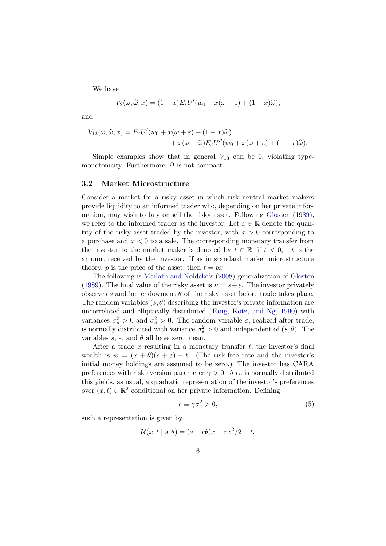We have

$$
V_2(\omega, \widehat{\omega}, x) = (1 - x)E_{\varepsilon}U'(w_0 + x(\omega + \varepsilon) + (1 - x)\widehat{\omega}),
$$

and

$$
V_{13}(\omega, \widehat{\omega}, x) = E_{\varepsilon} U'(w_0 + x(\omega + \varepsilon) + (1 - x)\widehat{\omega}) + x(\omega - \widehat{\omega}) E_{\varepsilon} U''(w_0 + x(\omega + \varepsilon) + (1 - x)\widehat{\omega}).
$$

Simple examples show that in general  $V_{13}$  can be 0, violating typemonotonicity. Furthermore,  $\Omega$  is not compact.

#### 3.2 Market Microstructure

Consider a market for a risky asset in which risk neutral market makers provide liquidity to an informed trader who, depending on her private information, may wish to buy or sell the risky asset. Following [Glosten](#page-26-0) [\(1989](#page-26-0)), we refer to the informed trader as the investor. Let  $x \in \mathbb{R}$  denote the quantity of the risky asset traded by the investor, with  $x > 0$  corresponding to a purchase and  $x < 0$  to a sale. The corresponding monetary transfer from the investor to the market maker is denoted by  $t \in \mathbb{R}$ ; if  $t < 0, -t$  is the amount received by the investor. If as in standard market microstructure theory, p is the price of the asset, then  $t = px$ .

The following is Mailath and Nöldeke's ([2008](#page-27-0)) generalization of [Glosten](#page-26-0) [\(1989\)](#page-26-0). The final value of the risky asset is  $\nu = s + \varepsilon$ . The investor privately observes s and her endowment  $\theta$  of the risky asset before trade takes place. The random variables  $(s, \theta)$  describing the investor's private information are uncorrelated and elliptically distributed ([Fang, Kotz, and Ng,](#page-26-0) [1990](#page-26-0)) with variances  $\sigma_s^2 > 0$  and  $\sigma_{\theta}^2 > 0$ . The random variable  $\varepsilon$ , realized after trade, is normally distributed with variance  $\sigma_{\varepsilon}^2 > 0$  and independent of  $(s, \theta)$ . The variables s,  $\varepsilon$ , and  $\theta$  all have zero mean.

After a trade x resulting in a monetary transfer  $t$ , the investor's final wealth is  $w = (x + \theta)(s + \varepsilon) - t$ . (The risk-free rate and the investor's initial money holdings are assumed to be zero.) The investor has CARA preferences with risk aversion parameter  $\gamma > 0$ . As  $\varepsilon$  is normally distributed this yields, as usual, a quadratic representation of the investor's preferences over  $(x, t) \in \mathbb{R}^2$  conditional on her private information. Defining

$$
r \equiv \gamma \sigma_{\varepsilon}^2 > 0,\tag{5}
$$

such a representation is given by

$$
\mathcal{U}(x,t \mid s,\theta) = (s - r\theta)x - rx^2/2 - t.
$$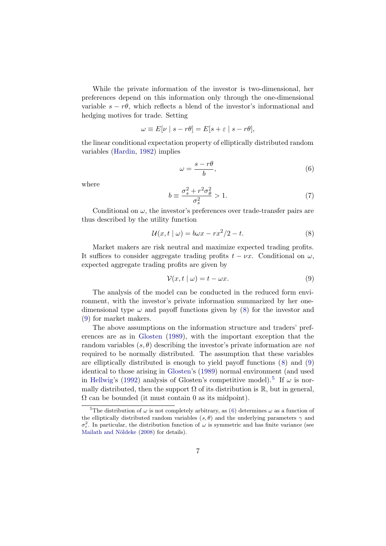<span id="page-8-0"></span>While the private information of the investor is two-dimensional, her preferences depend on this information only through the one-dimensional variable  $s - r\theta$ , which reflects a blend of the investor's informational and hedging motives for trade. Setting

$$
\omega \equiv E[\nu \mid s - r\theta] = E[s + \varepsilon \mid s - r\theta],
$$

the linear conditional expectation property of elliptically distributed random variables [\(Hardin](#page-26-0), [1982\)](#page-26-0) implies

$$
\omega = \frac{s - r\theta}{b},\tag{6}
$$

where

$$
b \equiv \frac{\sigma_s^2 + r^2 \sigma_\theta^2}{\sigma_s^2} > 1. \tag{7}
$$

Conditional on  $\omega$ , the investor's preferences over trade-transfer pairs are thus described by the utility function

$$
\mathcal{U}(x,t \mid \omega) = b\omega x - rx^2/2 - t. \tag{8}
$$

Market makers are risk neutral and maximize expected trading profits. It suffices to consider aggregate trading profits  $t - \nu x$ . Conditional on  $\omega$ , expected aggregate trading profits are given by

$$
\mathcal{V}(x, t \mid \omega) = t - \omega x. \tag{9}
$$

The analysis of the model can be conducted in the reduced form environment, with the investor's private information summarized by her onedimensional type  $\omega$  and payoff functions given by (8) for the investor and (9) for market makers.

The above assumptions on the information structure and traders' preferences are as in [Glosten](#page-26-0) ([1989](#page-26-0)), with the important exception that the random variables  $(s, \theta)$  describing the investor's private information are not required to be normally distributed. The assumption that these variables are elliptically distributed is enough to yield payoff functions (8) and (9) identical to those arising in [Glosten'](#page-26-0)s [\(1989](#page-26-0)) normal environment (and used in [Hellwig'](#page-26-0)s [\(1992](#page-26-0)) analysis of Glosten's competitive model).<sup>5</sup> If  $\omega$  is normally distributed, then the support  $\Omega$  of its distribution is  $\mathbb{R}$ , but in general,  $\Omega$  can be bounded (it must contain 0 as its midpoint).

<sup>&</sup>lt;sup>5</sup>The distribution of  $\omega$  is not completely arbitrary, as (6) determines  $\omega$  as a function of the elliptically distributed random variables  $(s, \theta)$  and the underlying parameters  $\gamma$  and  $\sigma_{\epsilon}^2$ . In particular, the distribution function of  $\omega$  is symmetric and has finite variance (see Mailath and Nöldeke ([2008](#page-27-0)) for details).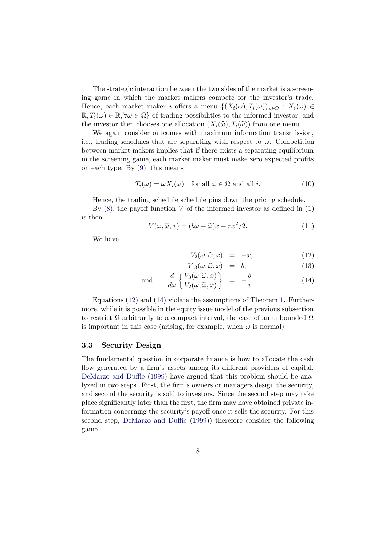<span id="page-9-0"></span>The strategic interaction between the two sides of the market is a screening game in which the market makers compete for the investor's trade. Hence, each market maker i offers a menu  $\{(X_i(\omega), T_i(\omega))_{\omega \in \Omega} : X_i(\omega) \in$  $\mathbb{R}, T_i(\omega) \in \mathbb{R}, \forall \omega \in \Omega$  of trading possibilities to the informed investor, and the investor then chooses one allocation  $(X_i(\widehat{\omega}), T_i(\widehat{\omega}))$  from one menu.

We again consider outcomes with maximum information transmission, i.e., trading schedules that are separating with respect to  $\omega$ . Competition between market makers implies that if there exists a separating equilibrium in the screening game, each market maker must make zero expected profits on each type. By ([9](#page-8-0)), this means

$$
T_i(\omega) = \omega X_i(\omega) \quad \text{for all } \omega \in \Omega \text{ and all } i. \tag{10}
$$

Hence, the trading schedule schedule pins down the pricing schedule.

By  $(8)$ , the payoff function V of the informed investor as defined in  $(1)$  $(1)$  $(1)$ is then

$$
V(\omega, \widehat{\omega}, x) = (b\omega - \widehat{\omega})x - rx^2/2.
$$
 (11)

We have

$$
V_2(\omega, \widehat{\omega}, x) = -x, \qquad (12)
$$

$$
V_{13}(\omega, \widehat{\omega}, x) = b,\tag{13}
$$

and 
$$
\frac{d}{d\omega} \left\{ \frac{V_3(\omega, \hat{\omega}, x)}{V_2(\omega, \hat{\omega}, x)} \right\} = -\frac{b}{x}.
$$
 (14)

Equations (12) and (14) violate the assumptions of Theorem [1](#page-4-0). Furthermore, while it is possible in the equity issue model of the previous subsection to restrict  $\Omega$  arbitrarily to a compact interval, the case of an unbounded  $\Omega$ is important in this case (arising, for example, when  $\omega$  is normal).

#### 3.3 Security Design

The fundamental question in corporate finance is how to allocate the cash flow generated by a firm's assets among its different providers of capital. [DeMarzo and Duffie](#page-26-0) ([1999\)](#page-26-0) have argued that this problem should be analyzed in two steps. First, the firm's owners or managers design the security, and second the security is sold to investors. Since the second step may take place significantly later than the first, the firm may have obtained private information concerning the security's payoff once it sells the security. For this second step, [DeMarzo and Duffie](#page-26-0) ([1999\)](#page-26-0)) therefore consider the following game.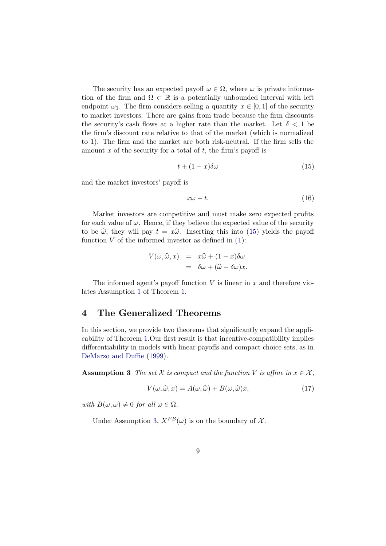<span id="page-10-0"></span>The security has an expected payoff  $\omega \in \Omega$ , where  $\omega$  is private information of the firm and  $\Omega \subset \mathbb{R}$  is a potentially unbounded interval with left endpoint  $\omega_1$ . The firm considers selling a quantity  $x \in [0, 1]$  of the security to market investors. There are gains from trade because the firm discounts the security's cash flows at a higher rate than the market. Let  $\delta$  < 1 be the firm's discount rate relative to that of the market (which is normalized to 1). The firm and the market are both risk-neutral. If the firm sells the amount x of the security for a total of  $t$ , the firm's payoff is

$$
t + (1 - x)\delta\omega \tag{15}
$$

and the market investors' payoff is

$$
x\omega - t.\t\t(16)
$$

Market investors are competitive and must make zero expected profits for each value of  $\omega$ . Hence, if they believe the expected value of the security to be  $\hat{\omega}$ , they will pay  $t = x\hat{\omega}$ . Inserting this into (15) yields the payoff function  $V$  of the informed investor as defined in  $(1)$  $(1)$  $(1)$ :

$$
V(\omega, \widehat{\omega}, x) = x\widehat{\omega} + (1 - x)\delta\omega
$$
  
=  $\delta\omega + (\widehat{\omega} - \delta\omega)x$ .

The informed agent's payoff function  $V$  is linear in  $x$  and therefore violates Assumption [1](#page-4-0) of Theorem [1.](#page-4-0)

### 4 The Generalized Theorems

In this section, we provide two theorems that significantly expand the applicability of Theorem [1.](#page-4-0)Our first result is that incentive-compatibility implies differentiability in models with linear payoffs and compact choice sets, as in [DeMarzo and Duffie](#page-26-0) [\(1999\)](#page-26-0).

**Assumption 3** The set X is compact and the function V is affine in  $x \in \mathcal{X}$ .

$$
V(\omega, \widehat{\omega}, x) = A(\omega, \widehat{\omega}) + B(\omega, \widehat{\omega})x,\tag{17}
$$

with  $B(\omega, \omega) \neq 0$  for all  $\omega \in \Omega$ .

Under Assumption 3,  $X^{FB}(\omega)$  is on the boundary of X.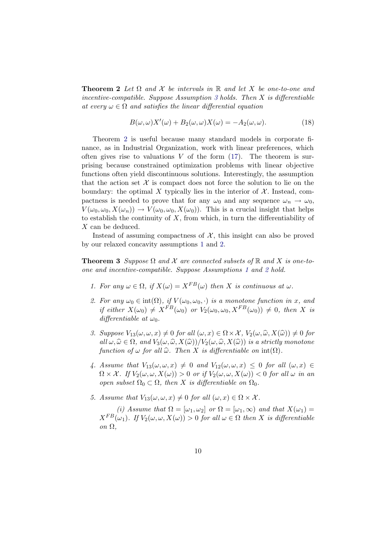<span id="page-11-0"></span>**Theorem 2** Let  $\Omega$  and  $\mathcal X$  be intervals in  $\mathbb R$  and let X be one-to-one and incentive-compatible. Suppose Assumption [3](#page-10-0) holds. Then  $X$  is differentiable at every  $\omega \in \Omega$  and satisfies the linear differential equation

$$
B(\omega,\omega)X'(\omega) + B_2(\omega,\omega)X(\omega) = -A_2(\omega,\omega). \tag{18}
$$

Theorem [2](#page-10-0) is useful because many standard models in corporate finance, as in Industrial Organization, work with linear preferences, which often gives rise to valuations  $V$  of the form  $(17)$  $(17)$ . The theorem is surprising because constrained optimization problems with linear objective functions often yield discontinuous solutions. Interestingly, the assumption that the action set  $\mathcal X$  is compact does not force the solution to lie on the boundary: the optimal X typically lies in the interior of  $\mathcal{X}$ . Instead, compactness is needed to prove that for any  $\omega_0$  and any sequence  $\omega_n \to \omega_0$ ,  $V(\omega_0, \omega_0, X(\omega_n)) \to V(\omega_0, \omega_0, X(\omega_0))$ . This is a crucial insight that helps to establish the continuity of  $X$ , from which, in turn the differentiability of X can be deduced.

Instead of assuming compactness of  $X$ , this insight can also be proved by our relaxed concavity assumptions [1](#page-4-0) and [2.](#page-4-0)

**Theorem 3** Suppose  $\Omega$  and  $\mathcal X$  are connected subsets of  $\mathbb R$  and  $X$  is one-toone and incentive-compatible. Suppose Assumptions [1](#page-4-0) and [2](#page-4-0) hold.

- 1. For any  $\omega \in \Omega$ , if  $X(\omega) = X^{FB}(\omega)$  then X is continuous at  $\omega$ .
- 2. For any  $\omega_0 \in \text{int}(\Omega)$ , if  $V(\omega_0, \omega_0, \cdot)$  is a monotone function in x, and if either  $X(\omega_0) \neq X^{FB}(\omega_0)$  or  $V_2(\omega_0, \omega_0, X^{FB}(\omega_0)) \neq 0$ , then X is differentiable at  $\omega_0$ .
- 3. Suppose  $V_{13}(\omega,\omega,x) \neq 0$  for all  $(\omega,x) \in \Omega \times \mathcal{X}$ ,  $V_2(\omega,\widehat{\omega},X(\widehat{\omega})) \neq 0$  for all  $\omega, \widehat{\omega} \in \Omega$ , and  $V_3(\omega, \widehat{\omega}, X(\widehat{\omega}))/V_2(\omega, \widehat{\omega}, X(\widehat{\omega}))$  is a strictly monotone function of  $\omega$  for all  $\widehat{\omega}$ . Then X is differentiable on  $\text{int}(\Omega)$ .
- 4. Assume that  $V_{13}(\omega,\omega,x) \neq 0$  and  $V_{12}(\omega,\omega,x) \leq 0$  for all  $(\omega,x) \in$  $\Omega \times \mathcal{X}$ . If  $V_2(\omega, \omega, X(\omega)) > 0$  or if  $V_2(\omega, \omega, X(\omega)) < 0$  for all  $\omega$  in an open subset  $\Omega_0 \subset \Omega$ , then X is differentiable on  $\Omega_0$ .
- 5. Assume that  $V_{13}(\omega, \omega, x) \neq 0$  for all  $(\omega, x) \in \Omega \times \mathcal{X}$ .

(i) Assume that  $\Omega = [\omega_1, \omega_2]$  or  $\Omega = [\omega_1, \infty)$  and that  $X(\omega_1) =$  $X^{FB}(\omega_1)$ . If  $V_2(\omega,\omega,X(\omega)) > 0$  for all  $\omega \in \Omega$  then X is differentiable on Ω,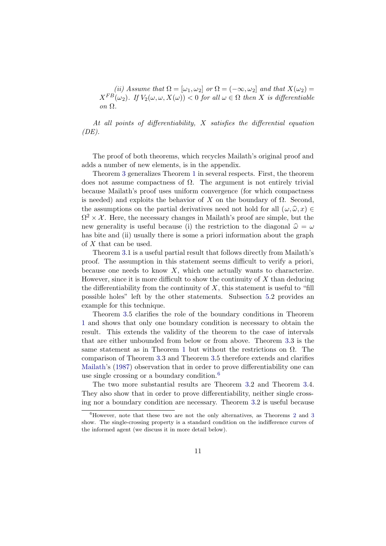(ii) Assume that  $\Omega = [\omega_1, \omega_2]$  or  $\Omega = (-\infty, \omega_2]$  and that  $X(\omega_2) =$  $X^{FB}(\omega_2)$ . If  $V_2(\omega, \omega, X(\omega)) < 0$  for all  $\omega \in \Omega$  then X is differentiable on Ω.

At all points of differentiability, X satisfies the differential equation  $(DE)$ .

The proof of both theorems, which recycles Mailath's original proof and adds a number of new elements, is in the appendix.

Theorem [3](#page-11-0) generalizes Theorem [1](#page-4-0) in several respects. First, the theorem does not assume compactness of  $\Omega$ . The argument is not entirely trivial because Mailath's proof uses uniform convergence (for which compactness is needed) and exploits the behavior of X on the boundary of  $\Omega$ . Second, the assumptions on the partial derivatives need not hold for all  $(\omega, \hat{\omega}, x) \in$  $\Omega^2 \times \mathcal{X}$ . Here, the necessary changes in Mailath's proof are simple, but the new generality is useful because (i) the restriction to the diagonal  $\hat{\omega} = \omega$ has bite and (ii) usually there is some a priori information about the graph of X that can be used.

Theorem [3](#page-11-0).1 is a useful partial result that follows directly from Mailath's proof. The assumption in this statement seems difficult to verify a priori, because one needs to know  $X$ , which one actually wants to characterize. However, since it is more difficult to show the continuity of  $X$  than deducing the differentiability from the continuity of  $X$ , this statement is useful to "fill" possible holes" left by the other statements. Subsection [5.](#page-14-0)2 provides an example for this technique.

Theorem [3](#page-11-0).5 clarifies the role of the boundary conditions in Theorem [1](#page-4-0) and shows that only one boundary condition is necessary to obtain the result. This extends the validity of the theorem to the case of intervals that are either unbounded from below or from above. Theorem [3](#page-11-0).3 is the same statement as in Theorem [1](#page-4-0) but without the restrictions on  $\Omega$ . The comparison of Theorem [3.](#page-11-0)3 and Theorem [3.](#page-11-0)5 therefore extends and clarifies [Mailath](#page-27-0)'s [\(1987\)](#page-27-0) observation that in order to prove differentiability one can use single crossing or a boundary condition. $6$ 

The two more substantial results are Theorem [3.](#page-11-0)2 and Theorem [3.](#page-11-0)4. They also show that in order to prove differentiability, neither single crossing nor a boundary condition are necessary. Theorem [3.](#page-11-0)2 is useful because

 ${}^{6}$ However, note that these two are not the only alternatives, as Theorems [2](#page-10-0) and [3](#page-11-0) show. The single-crossing property is a standard condition on the indifference curves of the informed agent (we discuss it in more detail below).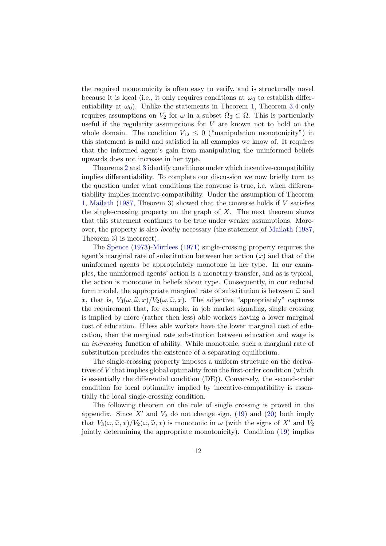the required monotonicity is often easy to verify, and is structurally novel because it is local (i.e., it only requires conditions at  $\omega_0$  to establish differentiability at  $\omega_0$ ). Unlike the statements in Theorem [1](#page-4-0), Theorem [3.](#page-11-0)4 only requires assumptions on  $V_2$  for  $\omega$  in a subset  $\Omega_0 \subset \Omega$ . This is particularly useful if the regularity assumptions for  $V$  are known not to hold on the whole domain. The condition  $V_{12} \leq 0$  ("manipulation monotonicity") in this statement is mild and satisfied in all examples we know of. It requires that the informed agent's gain from manipulating the uninformed beliefs upwards does not increase in her type.

Theorems [2](#page-10-0) and [3](#page-11-0) identify conditions under which incentive-compatibility implies differentiability. To complete our discussion we now briefly turn to the question under what conditions the converse is true, i.e. when differentiability implies incentive-compatibility. Under the assumption of Theorem [1](#page-4-0), [Mailath](#page-27-0) [\(1987](#page-27-0), Theorem 3) showed that the converse holds if V satisfies the single-crossing property on the graph of  $X$ . The next theorem shows that this statement continues to be true under weaker assumptions. Moreover, the property is also locally necessary (the statement of [Mailath](#page-27-0) ([1987](#page-27-0), Theorem 3) is incorrect).

The [Spence](#page-27-0) [\(1973\)](#page-27-0)-[Mirrlees](#page-27-0) [\(1971](#page-27-0)) single-crossing property requires the agent's marginal rate of substitution between her action  $(x)$  and that of the uninformed agents be appropriately monotone in her type. In our examples, the uninformed agents' action is a monetary transfer, and as is typical, the action is monotone in beliefs about type. Consequently, in our reduced form model, the appropriate marginal rate of substitution is between  $\hat{\omega}$  and x, that is,  $V_3(\omega, \hat{\omega}, x) / V_2(\omega, \hat{\omega}, x)$ . The adjective "appropriately" captures the requirement that, for example, in job market signaling, single crossing is implied by more (rather then less) able workers having a lower marginal cost of education. If less able workers have the lower marginal cost of education, then the marginal rate substitution between education and wage is an increasing function of ability. While monotonic, such a marginal rate of substitution precludes the existence of a separating equilibrium.

The single-crossing property imposes a uniform structure on the derivatives of V that implies global optimality from the first-order condition (which is essentially the differential condition (DE)). Conversely, the second-order condition for local optimality implied by incentive-compatibility is essentially the local single-crossing condition.

The following theorem on the role of single crossing is proved in the appendix. Since  $X'$  and  $V_2$  do not change sign, ([19\)](#page-14-0) and ([20](#page-14-0)) both imply that  $V_3(\omega, \hat{\omega}, x)/V_2(\omega, \hat{\omega}, x)$  is monotonic in  $\omega$  (with the signs of X' and V<sub>2</sub> jointly determining the appropriate monotonicity). Condition ([19\)](#page-14-0) implies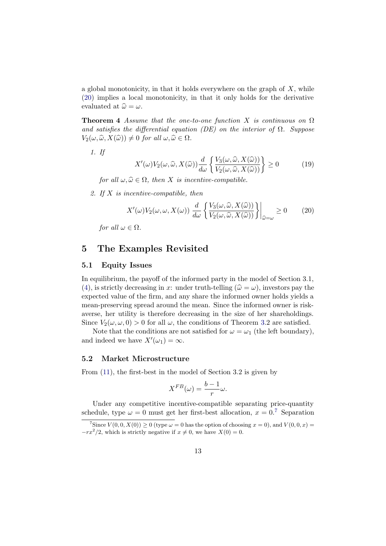<span id="page-14-0"></span>a global monotonicity, in that it holds everywhere on the graph of  $X$ , while (20) implies a local monotonicity, in that it only holds for the derivative evaluated at  $\hat{\omega} = \omega$ .

**Theorem 4** Assume that the one-to-one function X is continuous on  $\Omega$ and satisfies the differential equation (DE) on the interior of  $\Omega$ . Suppose  $V_2(\omega, \widehat{\omega}, X(\widehat{\omega})) \neq 0$  for all  $\omega, \widehat{\omega} \in \Omega$ .

1. If

$$
X'(\omega)V_2(\omega,\widehat{\omega},X(\widehat{\omega}))\frac{d}{d\omega}\left\{\frac{V_3(\omega,\widehat{\omega},X(\widehat{\omega}))}{V_2(\omega,\widehat{\omega},X(\widehat{\omega}))}\right\} \ge 0\tag{19}
$$

for all  $\omega, \widehat{\omega} \in \Omega$ , then X is incentive-compatible.

2. If X is incentive-compatible, then

$$
X'(\omega)V_2(\omega,\omega,X(\omega))\frac{d}{d\omega}\left\{\frac{V_3(\omega,\widehat{\omega},X(\widehat{\omega}))}{V_2(\omega,\widehat{\omega},X(\widehat{\omega}))}\right\}\Big|_{\widehat{\omega}=\omega}\geq 0\qquad(20)
$$

for all  $\omega \in \Omega$ .

## 5 The Examples Revisited

#### 5.1 Equity Issues

In equilibrium, the payoff of the informed party in the model of Section 3.1, [\(4](#page-6-0)), is strictly decreasing in x: under truth-telling  $(\hat{\omega} = \omega)$ , investors pay the expected value of the firm, and any share the informed owner holds yields a mean-preserving spread around the mean. Since the informed owner is riskaverse, her utility is therefore decreasing in the size of her shareholdings. Since  $V_2(\omega, \omega, 0) > 0$  for all  $\omega$ , the conditions of Theorem [3.](#page-11-0)2 are satisfied.

Note that the conditions are not satisfied for  $\omega = \omega_1$  (the left boundary), and indeed we have  $X'(\omega_1) = \infty$ .

#### 5.2 Market Microstructure

From ([11\)](#page-9-0), the first-best in the model of Section 3.2 is given by

$$
X^{FB}(\omega) = \frac{b-1}{r}\omega.
$$

Under any competitive incentive-compatible separating price-quantity schedule, type  $\omega = 0$  must get her first-best allocation,  $x = 0$ .<sup>7</sup> Separation

<sup>&</sup>lt;sup>7</sup>Since  $V(0,0,X(0)) \ge 0$  (type  $\omega = 0$  has the option of choosing  $x = 0$ ), and  $V(0,0,x) =$  $-rx^2/2$ , which is strictly negative if  $x \neq 0$ , we have  $X(0) = 0$ .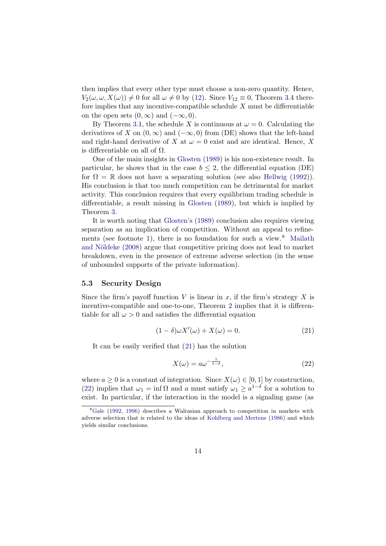<span id="page-15-0"></span>then implies that every other type must choose a non-zero quantity. Hence,  $V_2(\omega, \omega, X(\omega)) \neq 0$  for all  $\omega \neq 0$  by ([12\)](#page-9-0). Since  $V_{12} \equiv 0$ , Theorem [3.](#page-11-0)4 therefore implies that any incentive-compatible schedule  $X$  must be differentiable on the open sets  $(0, \infty)$  and  $(-\infty, 0)$ .

By Theorem [3](#page-11-0).1, the schedule X is continuous at  $\omega = 0$ . Calculating the derivatives of X on  $(0, \infty)$  and  $(-\infty, 0)$  from (DE) shows that the left-hand and right-hand derivative of X at  $\omega = 0$  exist and are identical. Hence, X is differentiable on all of Ω.

One of the main insights in [Glosten](#page-26-0) [\(1989\)](#page-26-0) is his non-existence result. In particular, he shows that in the case  $b \leq 2$ , the differential equation (DE) for  $\Omega = \mathbb{R}$  does not have a separating solution (see also [Hellwig](#page-26-0) [\(1992\)](#page-26-0)). His conclusion is that too much competition can be detrimental for market activity. This conclusion requires that every equilibrium trading schedule is differentiable, a result missing in [Glosten](#page-26-0) ([1989\)](#page-26-0), but which is implied by Theorem [3](#page-11-0).

It is worth noting that [Glosten](#page-26-0)'s [\(1989](#page-26-0)) conclusion also requires viewing separation as an implication of competition. Without an appeal to refine-ments (see footnote [1](#page-3-0)), there is no foundation for such a view.<sup>8</sup> [Mailath](#page-27-0) and Nöldeke ([2008](#page-27-0)) argue that competitive pricing does not lead to market breakdown, even in the presence of extreme adverse selection (in the sense of unbounded supports of the private information).

#### 5.3 Security Design

Since the firm's payoff function  $V$  is linear in  $x$ , if the firm's strategy  $X$  is incentive-compatible and one-to-one, Theorem [2](#page-10-0) implies that it is differentiable for all  $\omega > 0$  and satisfies the differential equation

$$
(1 - \delta)\omega X'(\omega) + X(\omega) = 0.
$$
\n(21)

It can be easily verified that (21) has the solution

$$
X(\omega) = a\omega^{-\frac{1}{1-\delta}},\tag{22}
$$

where  $a \geq 0$  is a constant of integration. Since  $X(\omega) \in [0, 1]$  by construction, (22) implies that  $\omega_1 = \inf \Omega$  and a must satisfy  $\omega_1 \geq a^{1-\delta}$  for a solution to exist. In particular, if the interaction in the model is a signaling game (as

 ${}^{8}$ [Gale](#page-26-0) ([1992](#page-26-0), [1996](#page-26-0)) describes a Walrasian approach to competition in markets with adverse selection that is related to the ideas of [Kohlberg and Mertens](#page-27-0) ([1986](#page-27-0)) and which yields similar conclusions.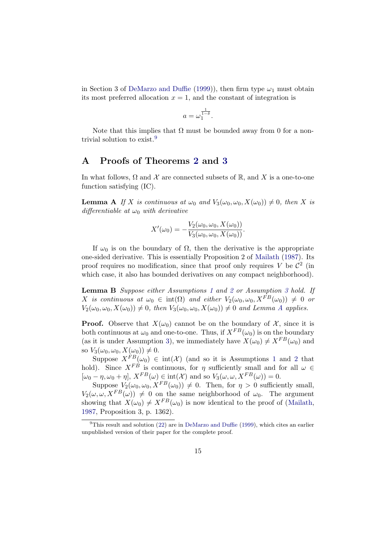<span id="page-16-0"></span>in Section 3 of [DeMarzo and Duffie](#page-26-0) [\(1999](#page-26-0))), then firm type  $\omega_1$  must obtain its most preferred allocation  $x = 1$ , and the constant of integration is

$$
a=\omega_1^{\frac{1}{1-\delta}}.
$$

Note that this implies that  $\Omega$  must be bounded away from 0 for a nontrivial solution to exist.<sup>9</sup>

## A Proofs of Theorems [2](#page-10-0) and [3](#page-11-0)

In what follows,  $\Omega$  and X are connected subsets of R, and X is a one-to-one function satisfying (IC).

**Lemma A** If X is continuous at  $\omega_0$  and  $V_3(\omega_0, \omega_0, X(\omega_0)) \neq 0$ , then X is differentiable at  $\omega_0$  with derivative

$$
X'(\omega_0) = -\frac{V_2(\omega_0, \omega_0, X(\omega_0))}{V_3(\omega_0, \omega_0, X(\omega_0))}.
$$

If  $\omega_0$  is on the boundary of  $\Omega$ , then the derivative is the appropriate one-sided derivative. This is essentially Proposition 2 of [Mailath](#page-27-0) [\(1987](#page-27-0)). Its proof requires no modification, since that proof only requires V be  $\mathcal{C}^2$  (in which case, it also has bounded derivatives on any compact neighborhood).

Lemma B Suppose either Assumptions [1](#page-4-0) and [2](#page-4-0) or Assumption [3](#page-10-0) hold. If X is continuous at  $\omega_0 \in \text{int}(\Omega)$  and either  $V_2(\omega_0, \omega_0, X^{FB}(\omega_0)) \neq 0$  or  $V_2(\omega_0, \omega_0, X(\omega_0)) \neq 0$ , then  $V_3(\omega_0, \omega_0, X(\omega_0)) \neq 0$  and Lemma A applies.

**Proof.** Observe that  $X(\omega_0)$  cannot be on the boundary of X, since it is both continuous at  $\omega_0$  and one-to-one. Thus, if  $X^{FB}(\omega_0)$  is on the boundary (as it is under Assumption [3](#page-10-0)), we immediately have  $X(\omega_0) \neq X^{FB}(\omega_0)$  and so  $V_3(\omega_0, \omega_0, X(\omega_0)) \neq 0$ .

Suppose  $X^{FB}(\omega_0) \in \text{int}(\mathcal{X})$  (and so it is Assumptions [1](#page-4-0) and [2](#page-4-0) that hold). Since  $X^{F\dot{B}}$  is continuous, for  $\eta$  sufficiently small and for all  $\omega \in$  $[\omega_0 - \eta, \omega_0 + \eta], X^{FB}(\omega) \in \text{int}(\mathcal{X})$  and so  $V_3(\omega, \omega, X^{FB}(\omega)) = 0.$ 

Suppose  $V_2(\omega_0, \omega_0, X^{FB}(\omega_0)) \neq 0$ . Then, for  $\eta > 0$  sufficiently small,  $V_2(\omega, \omega, X^{FB}(\omega)) \neq 0$  on the same neighborhood of  $\omega_0$ . The argument showing that  $X(\omega_0) \neq X^{FB}(\omega_0)$  is now identical to the proof of ([Mailath](#page-27-0), [1987,](#page-27-0) Proposition 3, p. 1362).

<sup>&</sup>lt;sup>9</sup>This result and solution ([22](#page-15-0)) are in [DeMarzo and Duffie](#page-26-0) ([1999](#page-26-0)), which cites an earlier unpublished version of their paper for the complete proof.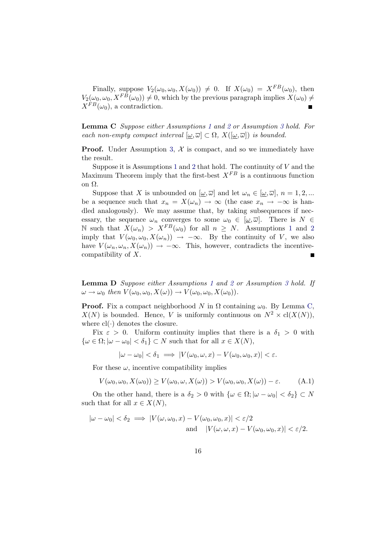<span id="page-17-0"></span>Finally, suppose  $V_2(\omega_0, \omega_0, X(\omega_0)) \neq 0$ . If  $X(\omega_0) = X^{FB}(\omega_0)$ , then  $V_2(\omega_0, \omega_0, X^{F\tilde{B}}(\omega_0)) \neq 0$ , which by the previous paragraph implies  $X(\omega_0) \neq 0$  $X^{FB}(\omega_0)$ , a contradiction.

Lemma C Suppose either Assumptions [1](#page-4-0) and [2](#page-4-0) or Assumption [3](#page-10-0) hold. For each non-empty compact interval  $[\underline{\omega}, \overline{\omega}] \subset \Omega$ ,  $X([\underline{\omega}, \overline{\omega}])$  is bounded.

**Proof.** Under Assumption [3](#page-10-0),  $\mathcal{X}$  is compact, and so we immediately have the result.

Suppose it is Assumptions [1](#page-4-0) and [2](#page-4-0) that hold. The continuity of  $V$  and the Maximum Theorem imply that the first-best  $X^{FB}$  is a continuous function on Ω.

Suppose that X is unbounded on  $[\underline{\omega}, \overline{\omega}]$  and let  $\omega_n \in [\underline{\omega}, \overline{\omega}]$ ,  $n = 1, 2, ...$ be a sequence such that  $x_n = X(\omega_n) \to \infty$  (the case  $x_n \to -\infty$  is handled analogously). We may assume that, by taking subsequences if necessary, the sequence  $\omega_n$  converges to some  $\omega_0 \in [\omega, \overline{\omega}]$ . There is  $N \in$ N such that  $X(\omega_n) > X^{FB}(\omega_0)$  for all  $n \geq N$ . Assumptions [1](#page-4-0) and [2](#page-4-0) imply that  $V(\omega_0, \omega_0, X(\omega_n)) \rightarrow -\infty$ . By the continuity of V, we also have  $V(\omega_n, \omega_n, X(\omega_n)) \to -\infty$ . This, however, contradicts the incentivecompatibility of X. П

Lemma D Suppose either Assumptions [1](#page-4-0) and [2](#page-4-0) or Assumption [3](#page-10-0) hold. If  $\omega \to \omega_0$  then  $V(\omega_0, \omega_0, X(\omega)) \to V(\omega_0, \omega_0, X(\omega_0)).$ 

**Proof.** Fix a compact neighborhood N in  $\Omega$  containing  $\omega_0$ . By Lemma C,  $X(N)$  is bounded. Hence, V is uniformly continuous on  $N^2 \times cl(X(N)),$ where cl(∙) denotes the closure.

Fix  $\varepsilon > 0$ . Uniform continuity implies that there is a  $\delta_1 > 0$  with  $\{\omega \in \Omega; |\omega - \omega_0| < \delta_1\} \subset N$  such that for all  $x \in X(N)$ ,

$$
|\omega - \omega_0| < \delta_1 \implies |V(\omega_0, \omega, x) - V(\omega_0, \omega_0, x)| < \varepsilon.
$$

For these  $\omega$ , incentive compatibility implies

$$
V(\omega_0, \omega_0, X(\omega_0)) \ge V(\omega_0, \omega, X(\omega)) > V(\omega_0, \omega_0, X(\omega)) - \varepsilon.
$$
 (A.1)

On the other hand, there is a  $\delta_2 > 0$  with  $\{\omega \in \Omega; |\omega - \omega_0| < \delta_2\} \subset N$ such that for all  $x \in X(N)$ ,

$$
|\omega - \omega_0| < \delta_2 \implies |V(\omega, \omega_0, x) - V(\omega_0, \omega_0, x)| < \varepsilon/2
$$
\n
$$
\text{and} \quad |V(\omega, \omega, x) - V(\omega_0, \omega_0, x)| < \varepsilon/2.
$$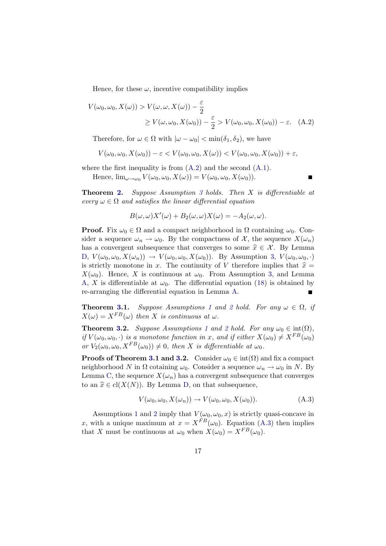Hence, for these  $\omega$ , incentive compatibility implies

$$
V(\omega_0, \omega_0, X(\omega)) > V(\omega, \omega, X(\omega)) - \frac{\varepsilon}{2}
$$
  
 
$$
\geq V(\omega, \omega_0, X(\omega_0)) - \frac{\varepsilon}{2} > V(\omega_0, \omega_0, X(\omega_0)) - \varepsilon. \quad (A.2)
$$

Therefore, for  $\omega \in \Omega$  with  $|\omega - \omega_0| < \min(\delta_1, \delta_2)$ , we have

$$
V(\omega_0, \omega_0, X(\omega_0)) - \varepsilon < V(\omega_0, \omega_0, X(\omega)) < V(\omega_0, \omega_0, X(\omega_0)) + \varepsilon,
$$

where the first inequality is from  $(A.2)$  and the second  $(A.1)$ .

Hence,  $\lim_{\omega \to \omega_0} V(\omega_0, \omega_0, X(\omega)) = V(\omega_0, \omega_0, X(\omega_0)).$ 

П

Theorem [2.](#page-10-0) Suppose Assumption [3](#page-10-0) holds. Then X is differentiable at every  $\omega \in \Omega$  and satisfies the linear differential equation

$$
B(\omega, \omega)X'(\omega) + B_2(\omega, \omega)X(\omega) = -A_2(\omega, \omega).
$$

**Proof.** Fix  $\omega_0 \in \Omega$  and a compact neighborhood in  $\Omega$  containing  $\omega_0$ . Consider a sequence  $\omega_n \to \omega_0$ . By the compactness of X, the sequence  $X(\omega_n)$ has a convergent subsequence that converges to some  $\hat{x} \in \mathcal{X}$ . By Lemma [D](#page-17-0),  $V(\omega_0, \omega_0, X(\omega_n)) \to V(\omega_0, \omega_0, X(\omega_0))$ . By Assumption [3](#page-10-0),  $V(\omega_0, \omega_0, \cdot)$ is strictly monotone in x. The continuity of V therefore implies that  $\hat{x} =$  $X(\omega_0)$ . Hence, X is continuous at  $\omega_0$ . From Assumption [3](#page-10-0), and Lemma [A,](#page-16-0) X is differentiable at  $\omega_0$ . The differential equation [\(18](#page-11-0)) is obtained by re-arranging the differential equation in Lemma [A](#page-16-0).  $\blacksquare$ 

**Theorem [3.](#page-11-0)[1](#page-4-0).** Suppose Assumptions 1 and [2](#page-4-0) hold. For any  $\omega \in \Omega$ , if  $X(\omega) = X^{FB}(\omega)$  then X is continuous at  $\omega$ .

**Theorem [3.](#page-11-0)[2](#page-4-0).** Suppose Assumptions [1](#page-4-0) and 2 hold. For any  $\omega_0 \in \text{int}(\Omega)$ , if  $V(\omega_0, \omega_0, \cdot)$  is a monotone function in x, and if either  $X(\omega_0) \neq X^{FB}(\omega_0)$ or  $V_2(\omega_0, \omega_0, X^{FB}(\omega_0)) \neq 0$ , then X is differentiable at  $\omega_0$ .

**Proofs of Theorem [3.](#page-11-0)1 and 3.2.** Consider  $\omega_0 \in \text{int}(\Omega)$  and fix a compact neighborhood N in  $\Omega$  cotaining  $\omega_0$ . Consider a sequence  $\omega_n \to \omega_0$  in N. By Lemma [C,](#page-17-0) the sequence  $X(\omega_n)$  has a convergent subsequence that converges to an  $\hat{x} \in \text{cl}(X(N))$ . By Lemma [D,](#page-17-0) on that subsequence,

$$
V(\omega_0, \omega_0, X(\omega_n)) \to V(\omega_0, \omega_0, X(\omega_0)).
$$
\n(A.3)

Assumptions [1](#page-4-0) and [2](#page-4-0) imply that  $V(\omega_0, \omega_0, x)$  is strictly quasi-concave in x, with a unique maximum at  $x = X^{FB}(\omega_0)$ . Equation (A.3) then implies that X must be continuous at  $\omega_0$  when  $X(\omega_0) = X^{FB}(\omega_0)$ .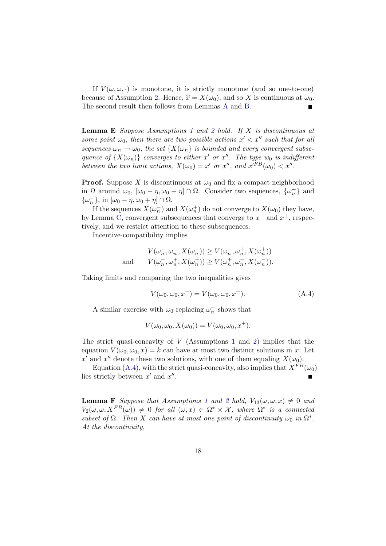<span id="page-19-0"></span>If  $V(\omega, \omega, \cdot)$  is monotone, it is strictly monotone (and so one-to-one) because of Assumption [2.](#page-4-0) Hence,  $\hat{x} = X(\omega_0)$ , and so X is continuous at  $\omega_0$ . The second result then follows from Lemmas [A](#page-16-0) and [B](#page-16-0).

**Lemma E** Suppose Assumptions [1](#page-4-0) and [2](#page-4-0) hold. If X is discontinuous at some point  $\omega_0$ , then there are two possible actions  $x' < x''$  such that for all sequences  $\omega_n \to \omega_0$ , the set  $\{X(\omega_n)\}\$ is bounded and every convergent subsequence of  ${X(\omega_n)}$  converges to either x' or x''. The type w<sub>0</sub> is indifferent between the two limit actions,  $X(\omega_0) = x'$  or  $x''$ , and  $x'^{FB}(\omega_0) < x''$ .

**Proof.** Suppose X is discontinuous at  $\omega_0$  and fix a compact neighborhood in  $\Omega$  around  $\omega_0$ ,  $[\omega_0 - \eta, \omega_0 + \eta] \cap \Omega$ . Consider two sequences,  $\{\omega_n^-\}$  and  $\{\omega_n^+\},$  in  $[\omega_0 - \eta, \omega_0 + \eta] \cap \Omega$ .

If the sequences  $X(\omega_n^-)$  and  $X(\omega_n^+)$  do not converge to  $X(\omega_0)$  they have, by Lemma [C](#page-17-0), convergent subsequences that converge to  $x^-$  and  $x^+$ , respectively, and we restrict attention to these subsequences.

Incentive-compatibility implies

$$
V(\omega_n^-, \omega_n^-, X(\omega_n^-)) \ge V(\omega_n^-, \omega_n^+, X(\omega_n^+))
$$
  
and 
$$
V(\omega_n^+, \omega_n^+, X(\omega_n^+)) \ge V(\omega_n^+, \omega_n^-, X(\omega_n^-)).
$$

Taking limits and comparing the two inequalities gives

$$
V(\omega_0, \omega_0, x^-) = V(\omega_0, \omega_0, x^+). \tag{A.4}
$$

A similar exercise with  $\omega_0$  replacing  $\omega_n^-$  shows that

$$
V(\omega_0, \omega_0, X(\omega_0)) = V(\omega_0, \omega_0, x^+).
$$

The strict quasi-concavity of  $V$  (Assumptions [1](#page-4-0) and [2\)](#page-4-0) implies that the equation  $V(\omega_0, \omega_0, x) = k$  can have at most two distinct solutions in x. Let x' and x'' denote these two solutions, with one of them equaling  $X(\omega_0)$ .

Equation (A.4), with the strict quasi-concavity, also implies that  $X^{FB}(\omega_0)$ lies strictly between  $x'$  and  $x''$ .  $\blacksquare$ 

**Lemma F** Suppose that Assumptions [1](#page-4-0) and [2](#page-4-0) hold,  $V_{13}(\omega, \omega, x) \neq 0$  and  $V_2(\omega, \omega, X^{FB}(\omega)) \neq 0$  for all  $(\omega, x) \in \Omega^* \times \mathcal{X}$ , where  $\Omega^*$  is a connected subset of  $\Omega$ . Then X can have at most one point of discontinuity  $\omega_0$  in  $\Omega^*$ . At the discontinuity,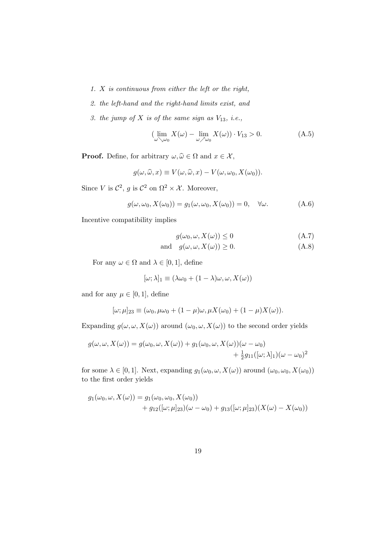- <span id="page-20-0"></span>1. X is continuous from either the left or the right,
- 2. the left-hand and the right-hand limits exist, and
- 3. the jump of  $X$  is of the same sign as  $V_{13}$ , i.e.,

$$
\left(\lim_{\omega \searrow \omega_0} X(\omega) - \lim_{\omega \nearrow \omega_0} X(\omega)\right) \cdot V_{13} > 0. \tag{A.5}
$$

**Proof.** Define, for arbitrary  $\omega, \hat{\omega} \in \Omega$  and  $x \in \mathcal{X}$ ,

$$
g(\omega, \widehat{\omega}, x) \equiv V(\omega, \widehat{\omega}, x) - V(\omega, \omega_0, X(\omega_0)).
$$

Since V is  $\mathcal{C}^2$ , g is  $\mathcal{C}^2$  on  $\Omega^2 \times \mathcal{X}$ . Moreover,

$$
g(\omega, \omega_0, X(\omega_0)) = g_1(\omega, \omega_0, X(\omega_0)) = 0, \quad \forall \omega.
$$
 (A.6)

Incentive compatibility implies

$$
g(\omega_0, \omega, X(\omega)) \le 0 \tag{A.7}
$$

and 
$$
g(\omega, \omega, X(\omega)) \ge 0.
$$
 (A.8)

For any  $\omega \in \Omega$  and  $\lambda \in [0,1]$ , define

$$
[\omega; \lambda]_1 \equiv (\lambda \omega_0 + (1 - \lambda)\omega, \omega, X(\omega))
$$

and for any  $\mu \in [0, 1]$ , define

$$
[\omega;\mu]_{23} \equiv (\omega_0,\mu\omega_0 + (1-\mu)\omega,\mu X(\omega_0) + (1-\mu)X(\omega)).
$$

Expanding  $g(\omega, \omega, X(\omega))$  around  $(\omega_0, \omega, X(\omega))$  to the second order yields

$$
g(\omega, \omega, X(\omega)) = g(\omega_0, \omega, X(\omega)) + g_1(\omega_0, \omega, X(\omega))(\omega - \omega_0)
$$
  
+  $\frac{1}{2}g_{11}([\omega; \lambda]_1)(\omega - \omega_0)^2$ 

for some  $\lambda \in [0,1].$  Next, expanding  $g_1(\omega_0,\omega,X(\omega))$  around  $(\omega_0,\omega_0,X(\omega_0))$ to the first order yields

$$
g_1(\omega_0, \omega, X(\omega)) = g_1(\omega_0, \omega_0, X(\omega_0)) + g_{12}([\omega; \mu]_{23})(\omega - \omega_0) + g_{13}([\omega; \mu]_{23})(X(\omega) - X(\omega_0))
$$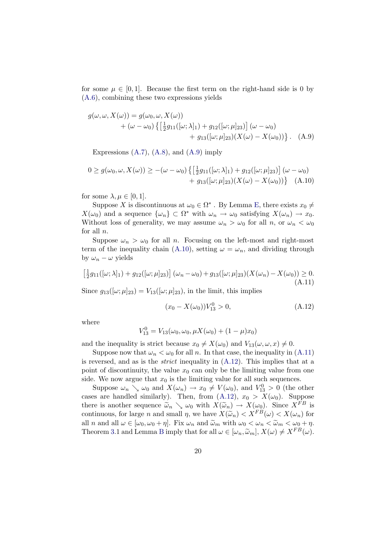<span id="page-21-0"></span>for some  $\mu \in [0, 1]$ . Because the first term on the right-hand side is 0 by [\(A.6\)](#page-20-0), combining these two expressions yields

$$
g(\omega, \omega, X(\omega)) = g(\omega_0, \omega, X(\omega)) + (\omega - \omega_0) \{ \left[ \frac{1}{2} g_{11}([\omega; \lambda]_1) + g_{12}([\omega; \mu]_{23}) \right] (\omega - \omega_0) + g_{13}([\omega; \mu]_{23}) (X(\omega) - X(\omega_0)) \}.
$$
 (A.9)

Expressions  $(A.7)$  $(A.7)$ ,  $(A.8)$ , and  $(A.9)$  imply

$$
0 \ge g(\omega_0, \omega, X(\omega)) \ge -(\omega - \omega_0) \left\{ \left[ \frac{1}{2} g_{11}([\omega; \lambda]_1) + g_{12}([\omega; \mu]_{23}) \right] (\omega - \omega_0) + g_{13}([\omega; \mu]_{23}) (X(\omega) - X(\omega_0)) \right\} \quad (A.10)
$$

for some  $\lambda, \mu \in [0, 1]$ .

Suppose X is discontinuous at  $\omega_0 \in \Omega^*$ . By Lemma [E](#page-19-0), there exists  $x_0 \neq$  $X(\omega_0)$  and a sequence  $\{\omega_n\} \subset \Omega^*$  with  $\omega_n \to \omega_0$  satisfying  $X(\omega_n) \to x_0$ . Without loss of generality, we may assume  $\omega_n > \omega_0$  for all n, or  $\omega_n < \omega_0$ for all n.

Suppose  $\omega_n > \omega_0$  for all n. Focusing on the left-most and right-most term of the inequality chain (A.10), setting  $\omega = \omega_n$ , and dividing through by  $\omega_n - \omega$  yields

$$
\left[\frac{1}{2}g_{11}([\omega;\lambda]_1) + g_{12}([\omega;\mu]_{23})\right](\omega_n - \omega_0) + g_{13}([\omega;\mu]_{23})(X(\omega_n) - X(\omega_0)) \ge 0.
$$
\n(A.11)

Since  $g_{13}([\omega;\mu]_{23}) = V_{13}([\omega;\mu]_{23})$ , in the limit, this implies

$$
(x_0 - X(\omega_0))V_{13}^0 > 0,
$$
\n(A.12)

where

$$
V_{13}^0 = V_{13}(\omega_0, \omega_0, \mu X(\omega_0) + (1 - \mu)x_0)
$$

and the inequality is strict because  $x_0 \neq X(\omega_0)$  and  $V_{13}(\omega, \omega, x) \neq 0$ .

Suppose now that  $\omega_n < \omega_0$  for all n. In that case, the inequality in (A.11) is reversed, and as is the *strict* inequality in  $(A.12)$ . This implies that at a point of discontinuity, the value  $x_0$  can only be the limiting value from one side. We now argue that  $x_0$  is the limiting value for all such sequences.

Suppose  $\omega_n \searrow \omega_0$  and  $X(\omega_n) \to x_0 \neq V(\omega_0)$ , and  $V_{13}^0 > 0$  (the other cases are handled similarly). Then, from (A.12),  $x_0 > X(\omega_0)$ . Suppose there is another sequence  $\tilde{\omega}_n \searrow \omega_0$  with  $X(\tilde{\omega}_n) \to X(\omega_0)$ . Since  $X^{FB}$  is continuous, for large n and small  $\eta$ , we have  $X(\tilde{\omega}_n) < X^{FB}(\omega) < X(\omega_n)$  for all n and all  $\omega \in [\omega_0, \omega_0 + \eta]$ . Fix  $\omega_n$  and  $\tilde{\omega}_m$  with  $\omega_0 < \omega_n < \tilde{\omega}_m < \omega_0 + \eta$ . Theorem [3](#page-11-0).1 and Lemma [B](#page-16-0) imply that for all  $\omega \in [\omega_n, \widetilde{\omega}_m], X(\omega) \neq X^{FB}(\omega)$ .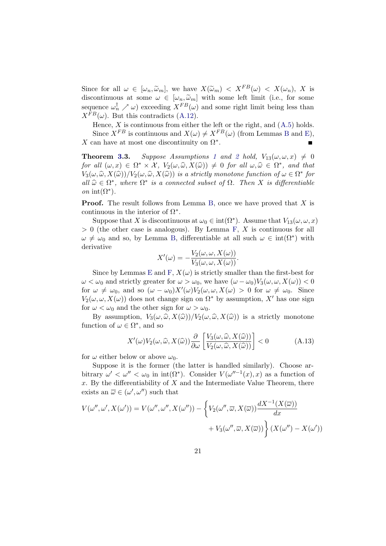<span id="page-22-0"></span>Since for all  $\omega \in [\omega_n, \widetilde{\omega}_m]$ , we have  $X(\widetilde{\omega}_m) < X^{FB}(\omega) < X(\omega_n)$ , X is discontinuous at some  $\omega \in [\omega_n, \tilde{\omega}_m]$  with some left limit (i.e., for some sequence  $\omega_n^{\dagger} \nearrow \omega$  exceeding  $X^{FB}(\omega)$  and some right limit being less than  $X^{FB}(\omega)$ . But this contradicts [\(A.12\)](#page-21-0).

Hence,  $X$  is continuous from either the left or the right, and  $(A.5)$  $(A.5)$  $(A.5)$  holds. Since  $X^{FB}$  $X^{FB}$  $X^{FB}$  is continuous and  $X(\omega) \neq X^{FB}(\omega)$  (from Lemmas B and [E](#page-19-0)),<br>can have at most one discontinuity on  $\Omega^*$ . X can have at most one discontinuity on  $\Omega^*$ .

**Theorem [3.](#page-11-0)3.** Suppose Assumptions [1](#page-4-0) and [2](#page-4-0) hold,  $V_{13}(\omega,\omega,x) \neq 0$ for all  $(\omega, x) \in \Omega^* \times \mathcal{X}$ ,  $V_2(\omega, \widehat{\omega}, X(\widehat{\omega})) \neq 0$  for all  $\omega, \widehat{\omega} \in \Omega^*$ , and that  $V_3(\omega, \widehat{\omega}, X(\widehat{\omega}))/V_2(\omega, \widehat{\omega}, X(\widehat{\omega}))$  is a strictly monotone function of  $\omega \in \Omega^*$  for all  $\widehat{\omega} \in \Omega^*$ , where  $\Omega^*$  is a connected subset of  $\Omega$ . Then X is differentiable on int $(\Omega^*).$ 

**Proof.** The result follows from Lemma [B,](#page-16-0) once we have proved that X is continuous in the interior of  $\Omega^*$ .

Suppose that X is discontinuous at  $\omega_0 \in \text{int}(\Omega^*)$ . Assume that  $V_{13}(\omega, \omega, x)$  $> 0$  (the other case is analogous). By Lemma [F,](#page-19-0) X is continuous for all  $\omega \neq \omega_0$  and so, by Lemma [B,](#page-16-0) differentiable at all such  $\omega \in \text{int}(\Omega^*)$  with derivative

$$
X'(\omega) = -\frac{V_2(\omega, \omega, X(\omega))}{V_3(\omega, \omega, X(\omega))}.
$$

Since by Lemmas [E](#page-19-0) and [F](#page-19-0),  $X(\omega)$  is strictly smaller than the first-best for  $\omega < \omega_0$  and strictly greater for  $\omega > \omega_0$ , we have  $(\omega - \omega_0)V_3(\omega, \omega, X(\omega)) < 0$ for  $\omega \neq \omega_0$ , and so  $(\omega - \omega_0)X'(\omega)V_2(\omega, \omega, X(\omega) > 0$  for  $\omega \neq \omega_0$ . Since  $V_2(\omega, \omega, X(\omega))$  does not change sign on  $\Omega^*$  by assumption, X' has one sign for  $\omega < \omega_0$  and the other sign for  $\omega > \omega_0$ .

By assumption,  $V_3(\omega, \widehat{\omega}, X(\widehat{\omega})) / V_2(\omega, \widehat{\omega}, X(\widehat{\omega}))$  is a strictly monotone function of  $\omega \in \Omega^*$ , and so

$$
X'(\omega)V_2(\omega,\widehat{\omega},X(\widehat{\omega}))\frac{\partial}{\partial\omega}\left[\frac{V_3(\omega,\widehat{\omega},X(\widehat{\omega}))}{V_2(\omega,\widehat{\omega},X(\widehat{\omega}))}\right] < 0
$$
 (A.13)

for  $\omega$  either below or above  $\omega_0$ .

Suppose it is the former (the latter is handled similarly). Choose arbitrary  $\omega' < \omega'' < \omega_0$  in int( $\Omega^*$ ). Consider  $V(\omega''^{-1}(x), x)$  as a function of  $x$ . By the differentiability of  $X$  and the Intermediate Value Theorem, there exists an  $\overline{\omega} \in (\omega', \omega'')$  such that

$$
V(\omega'', \omega', X(\omega')) = V(\omega'', \omega'', X(\omega'')) - \left\{ V_2(\omega'', \overline{\omega}, X(\overline{\omega})) \frac{dX^{-1}(X(\overline{\omega}))}{dx} + V_3(\omega'', \overline{\omega}, X(\overline{\omega})) \right\} (X(\omega'') - X(\omega'))
$$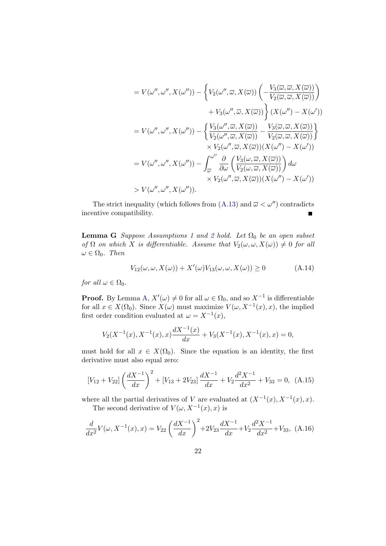<span id="page-23-0"></span>
$$
= V(\omega'', \omega'', X(\omega'')) - \left\{ V_2(\omega'', \overline{\omega}, X(\overline{\omega})) \left( -\frac{V_3(\overline{\omega}, \overline{\omega}, X(\overline{\omega}))}{V_2(\overline{\omega}, \overline{\omega}, X(\overline{\omega}))} \right) \right\}
$$
  

$$
+ V_3(\omega'', \overline{\omega}, X(\overline{\omega})) \right\} (X(\omega'') - X(\omega'))
$$
  

$$
= V(\omega'', \omega'', X(\omega'')) - \left\{ \frac{V_3(\omega'', \overline{\omega}, X(\overline{\omega}))}{V_2(\omega'', \overline{\omega}, X(\overline{\omega}))} - \frac{V_3(\overline{\omega}, \overline{\omega}, X(\overline{\omega}))}{V_2(\overline{\omega}, \overline{\omega}, X(\overline{\omega}))} \right\}
$$
  

$$
\times V_2(\omega'', \overline{\omega}, X(\overline{\omega})) (X(\omega'') - X(\omega'))
$$
  

$$
= V(\omega'', \omega'', X(\omega'')) - \int_{\overline{\omega}}^{\omega''} \frac{\partial}{\partial \omega} \left( \frac{V_3(\omega, \overline{\omega}, X(\overline{\omega}))}{V_2(\omega, \overline{\omega}, X(\overline{\omega}))} \right) d\omega
$$
  

$$
\times V_2(\omega'', \overline{\omega}, X(\overline{\omega})) (X(\omega'') - X(\omega'))
$$
  

$$
> V(\omega'', \omega'', X(\omega'')).
$$

The strict inequality (which follows from ([A.13](#page-22-0)) and  $\overline{\omega} < \omega''$ ) contradicts incentive compatibility.  $\blacksquare$ 

**Lemma G** Suppose Assumptions [1](#page-4-0) and [2](#page-4-0) hold. Let  $\Omega_0$  be an open subset of  $\Omega$  on which X is differentiable. Assume that  $V_2(\omega, \omega, X(\omega)) \neq 0$  for all  $\omega \in \Omega_0$ . Then

$$
V_{12}(\omega, \omega, X(\omega)) + X'(\omega)V_{13}(\omega, \omega, X(\omega)) \ge 0 \tag{A.14}
$$

for all  $\omega \in \Omega_0$ .

**Proof.** By Lemma [A](#page-16-0),  $X'(\omega) \neq 0$  for all  $\omega \in \Omega_0$ , and so  $X^{-1}$  is differentiable for all  $x \in X(\Omega_0)$ . Since  $X(\omega)$  must maximize  $V(\omega, X^{-1}(x), x)$ , the implied first order condition evaluated at  $\omega = X^{-1}(x)$ ,

$$
V_2(X^{-1}(x), X^{-1}(x), x) \frac{dX^{-1}(x)}{dx} + V_3(X^{-1}(x), X^{-1}(x), x) = 0,
$$

must hold for all  $x \in X(\Omega_0)$ . Since the equation is an identity, the first derivative must also equal zero:

$$
[V_{12} + V_{22}] \left(\frac{dX^{-1}}{dx}\right)^2 + [V_{13} + 2V_{23}] \frac{dX^{-1}}{dx} + V_2 \frac{d^2X^{-1}}{dx^2} + V_{33} = 0, \ (A.15)
$$

where all the partial derivatives of V are evaluated at  $(X^{-1}(x), X^{-1}(x), x)$ . The second derivative of  $V(\omega, X^{-1}(x), x)$  is

$$
\frac{d}{dx^2}V(\omega, X^{-1}(x), x) = V_{22} \left(\frac{dX^{-1}}{dx}\right)^2 + 2V_{23} \frac{dX^{-1}}{dx} + V_2 \frac{d^2X^{-1}}{dx^2} + V_{33}, \tag{A.16}
$$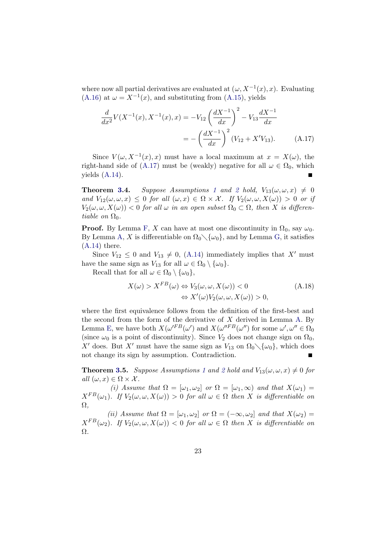<span id="page-24-0"></span>where now all partial derivatives are evaluated at  $(\omega, X^{-1}(x), x)$ . Evaluating [\(A.16](#page-23-0)) at  $\omega = X^{-1}(x)$ , and substituting from ([A.15\)](#page-23-0), yields

$$
\frac{d}{dx^2}V(X^{-1}(x), X^{-1}(x), x) = -V_{12}\left(\frac{dX^{-1}}{dx}\right)^2 - V_{13}\frac{dX^{-1}}{dx}
$$
\n
$$
= -\left(\frac{dX^{-1}}{dx}\right)^2 (V_{12} + X'V_{13}). \tag{A.17}
$$

Since  $V(\omega, X^{-1}(x), x)$  must have a local maximum at  $x = X(\omega)$ , the right-hand side of (A.17) must be (weakly) negative for all  $\omega \in \Omega_0$ , which yields ([A.14\)](#page-23-0).

**Theorem [3.](#page-11-0)4.** Suppose Assumptions [1](#page-4-0) and [2](#page-4-0) hold,  $V_{13}(\omega,\omega,x) \neq 0$ and  $V_{12}(\omega,\omega,x) \leq 0$  for all  $(\omega,x) \in \Omega \times \mathcal{X}$ . If  $V_2(\omega,\omega,X(\omega)) > 0$  or if  $V_2(\omega, \omega, X(\omega)) < 0$  for all  $\omega$  in an open subset  $\Omega_0 \subset \Omega$ , then X is differentiable on  $\Omega_0$ .

**Proof.** By Lemma [F,](#page-19-0) X can have at most one discontinuity in  $\Omega_0$ , say  $\omega_0$ . By Lemma [A,](#page-16-0) X is differentiable on  $\Omega_0 \setminus {\{\omega_0\}}$ , and by Lemma [G](#page-23-0), it satisfies [\(A.14](#page-23-0)) there.

Since  $V_{12} \leq 0$  and  $V_{13} \neq 0$ , [\(A.14\)](#page-23-0) immediately implies that X' must have the same sign as  $V_{13}$  for all  $\omega \in \Omega_0 \setminus {\{\omega_0\}}$ .

Recall that for all  $\omega \in \Omega_0 \setminus {\{\omega_0\}},$ 

$$
X(\omega) > X^{FB}(\omega) \Leftrightarrow V_3(\omega, \omega, X(\omega)) < 0
$$
  

$$
\Leftrightarrow X'(\omega)V_2(\omega, \omega, X(\omega)) > 0,
$$
 (A.18)

where the first equivalence follows from the definition of the first-best and the second from the form of the derivative of  $X$  derived in Lemma [A.](#page-16-0) By Lemma [E,](#page-19-0) we have both  $X(\omega'^{FB}(\omega'))$  and  $X(\omega''^{FB}(\omega''))$  for some  $\omega', \omega'' \in \Omega_0$ (since  $\omega_0$  is a point of discontinuity). Since  $V_2$  does not change sign on  $\Omega_0$ , X' does. But X' must have the same sign as  $V_{13}$  on  $\Omega_0 \setminus {\{\omega_0\}}$ , which does not change its sign by assumption. Contradiction.

**Theorem [3.](#page-11-0)5.** Suppose Assumptions [1](#page-4-0) and [2](#page-4-0) hold and  $V_{13}(\omega,\omega,x) \neq 0$  for all  $(\omega, x) \in \Omega \times \mathcal{X}$ .

(i) Assume that  $\Omega = [\omega_1, \omega_2]$  or  $\Omega = [\omega_1, \infty)$  and that  $X(\omega_1)$  $X^{FB}(\omega_1)$ . If  $V_2(\omega, \omega, X(\omega)) > 0$  for all  $\omega \in \Omega$  then X is differentiable on  $\Omega$ .

(ii) Assume that  $\Omega = [\omega_1, \omega_2]$  or  $\Omega = (-\infty, \omega_2]$  and that  $X(\omega_2) =$  $X^{FB}(\omega_2)$ . If  $V_2(\omega, \omega, X(\omega)) < 0$  for all  $\omega \in \Omega$  then X is differentiable on Ω.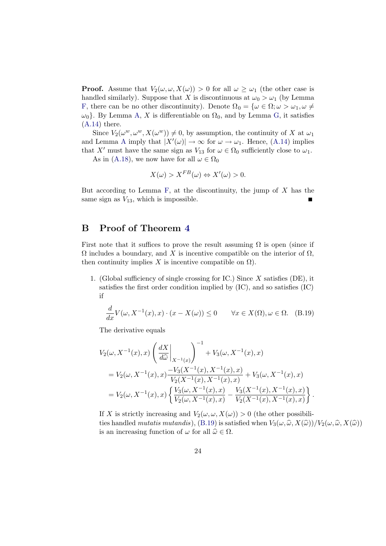**Proof.** Assume that  $V_2(\omega, \omega, X(\omega)) > 0$  for all  $\omega \geq \omega_1$  (the other case is handled similarly). Suppose that X is discontinuous at  $\omega_0 > \omega_1$  (by Lemma [F,](#page-19-0) there can be no other discontinuity). Denote  $\Omega_0 = {\omega \in \Omega; \omega > \omega_1, \omega \neq \Omega}$  $\omega_0$ . By Lemma [A](#page-16-0), X is differentiable on  $\Omega_0$ , and by Lemma [G](#page-23-0), it satisfies [\(A.14](#page-23-0)) there.

Since  $V_2(\omega^w, \omega^w, X(\omega^w)) \neq 0$ , by assumption, the continuity of X at  $\omega_1$ and Lemma [A](#page-16-0) imply that  $|X'(\omega)| \to \infty$  for  $\omega \to \omega_1$ . Hence, ([A.14](#page-23-0)) implies that X' must have the same sign as  $V_{13}$  for  $\omega \in \Omega_0$  sufficiently close to  $\omega_1$ .

As in ([A.18\)](#page-24-0), we now have for all  $\omega \in \Omega_0$ 

$$
X(\omega) > X^{FB}(\omega) \Leftrightarrow X'(\omega) > 0.
$$

But according to Lemma [F](#page-19-0), at the discontinuity, the jump of  $X$  has the same sign as  $V_{13}$ , which is impossible.

## B Proof of Theorem [4](#page-14-0)

First note that it suffices to prove the result assuming  $\Omega$  is open (since if  $\Omega$  includes a boundary, and X is incentive compatible on the interior of  $\Omega$ , then continuity implies X is incentive compatible on  $\Omega$ ).

1. (Global sufficiency of single crossing for IC.) Since  $X$  satisfies (DE), it satisfies the first order condition implied by (IC), and so satisfies (IC) if

$$
\frac{d}{dx}V(\omega, X^{-1}(x), x) \cdot (x - X(\omega)) \le 0 \quad \forall x \in X(\Omega), \omega \in \Omega. \tag{B.19}
$$

The derivative equals

$$
V_2(\omega, X^{-1}(x), x) \left( \frac{dX}{d\hat{\omega}} \Big|_{X^{-1}(x)} \right)^{-1} + V_3(\omega, X^{-1}(x), x)
$$
  
=  $V_2(\omega, X^{-1}(x), x) \frac{-V_3(X^{-1}(x), X^{-1}(x), x)}{V_2(X^{-1}(x), X^{-1}(x), x)} + V_3(\omega, X^{-1}(x), x)$   
=  $V_2(\omega, X^{-1}(x), x) \left\{ \frac{V_3(\omega, X^{-1}(x), x)}{V_2(\omega, X^{-1}(x), x)} - \frac{V_3(X^{-1}(x), X^{-1}(x), x)}{V_2(X^{-1}(x), X^{-1}(x), x)} \right\}.$ 

If X is strictly increasing and  $V_2(\omega, \omega, X(\omega)) > 0$  (the other possibilities handled mutatis mutandis), (B.19) is satisfied when  $V_3(\omega, \hat{\omega}, X(\hat{\omega}))/V_2(\omega, \hat{\omega}, X(\hat{\omega}))$ is an increasing function of  $\omega$  for all  $\hat{\omega} \in \Omega$ .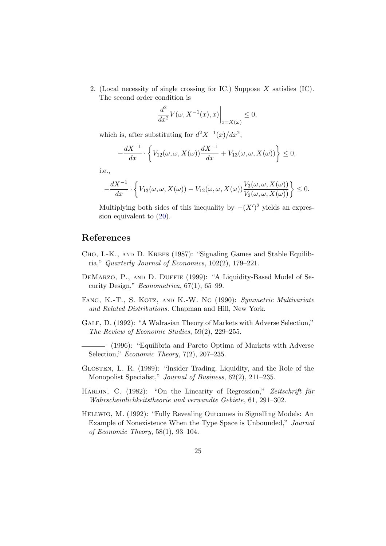<span id="page-26-0"></span>2. (Local necessity of single crossing for IC.) Suppose  $X$  satisfies (IC). The second order condition is

$$
\left. \frac{d^2}{dx^2} V(\omega, X^{-1}(x), x) \right|_{x=X(\omega)} \le 0,
$$

which is, after substituting for  $d^2X^{-1}(x)/dx^2$ ,

$$
-\frac{dX^{-1}}{dx} \cdot \left\{ V_{12}(\omega, \omega, X(\omega)) \frac{dX^{-1}}{dx} + V_{13}(\omega, \omega, X(\omega)) \right\} \le 0,
$$

i.e.,

$$
-\frac{dX^{-1}}{dx}\cdot\left\{V_{13}(\omega,\omega,X(\omega))-V_{12}(\omega,\omega,X(\omega))\frac{V_3(\omega,\omega,X(\omega))}{V_2(\omega,\omega,X(\omega))}\right\}\leq 0.
$$

Multiplying both sides of this inequality by  $-(X')^2$  yields an expression equivalent to ([20\)](#page-14-0).

## References

- Cho, I.-K., and D. Kreps (1987): "Signaling Games and Stable Equilibria," Quarterly Journal of Economics, 102(2), 179–221.
- DEMARZO, P., AND D. DUFFIE (1999): "A Liquidity-Based Model of Security Design," Econometrica, 67(1), 65–99.
- FANG, K.-T., S. KOTZ, AND K.-W. NG (1990): Symmetric Multivariate and Related Distributions. Chapman and Hill, New York.
- Gale, D. (1992): "A Walrasian Theory of Markets with Adverse Selection," The Review of Economic Studies, 59(2), 229–255.
- (1996): "Equilibria and Pareto Optima of Markets with Adverse Selection," *Economic Theory*,  $7(2)$ ,  $207-235$ .
- Glosten, L. R. (1989): "Insider Trading, Liquidity, and the Role of the Monopolist Specialist," Journal of Business, 62(2), 211–235.
- HARDIN, C. (1982): "On the Linearity of Regression," Zeitschrift für Wahrscheinlichkeitstheorie und verwandte Gebiete, 61, 291–302.
- Hellwig, M. (1992): "Fully Revealing Outcomes in Signalling Models: An Example of Nonexistence When the Type Space is Unbounded," Journal of Economic Theory, 58(1), 93–104.